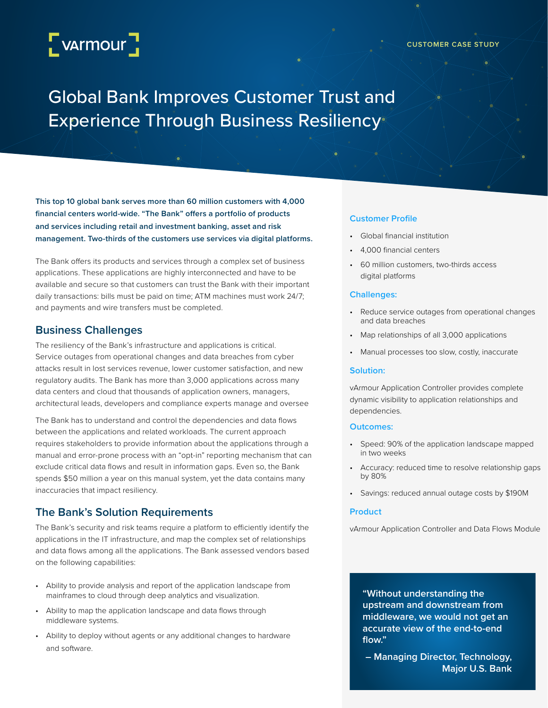# L<sub>VArmour</sub>

#### **CUSTOMER CASE STUDY**

# Global Bank Improves Customer Trust and Experience Through Business Resiliency

**This top 10 global bank serves more than 60 million customers with 4,000 financial centers world-wide. "The Bank" offers a portfolio of products and services including retail and investment banking, asset and risk management. Two-thirds of the customers use services via digital platforms.**

The Bank offers its products and services through a complex set of business applications. These applications are highly interconnected and have to be available and secure so that customers can trust the Bank with their important daily transactions: bills must be paid on time; ATM machines must work 24/7; and payments and wire transfers must be completed.

### **Business Challenges**

The resiliency of the Bank's infrastructure and applications is critical. Service outages from operational changes and data breaches from cyber attacks result in lost services revenue, lower customer satisfaction, and new regulatory audits. The Bank has more than 3,000 applications across many data centers and cloud that thousands of application owners, managers, architectural leads, developers and compliance experts manage and oversee

The Bank has to understand and control the dependencies and data flows between the applications and related workloads. The current approach requires stakeholders to provide information about the applications through a manual and error-prone process with an "opt-in" reporting mechanism that can exclude critical data flows and result in information gaps. Even so, the Bank spends \$50 million a year on this manual system, yet the data contains many inaccuracies that impact resiliency.

# **The Bank's Solution Requirements**

The Bank's security and risk teams require a platform to efficiently identify the applications in the IT infrastructure, and map the complex set of relationships and data flows among all the applications. The Bank assessed vendors based on the following capabilities:

- Ability to provide analysis and report of the application landscape from mainframes to cloud through deep analytics and visualization.
- Ability to map the application landscape and data flows through middleware systems.
- Ability to deploy without agents or any additional changes to hardware and software.

#### **Customer Profile**

- Global financial institution
- 4,000 financial centers
- 60 million customers, two-thirds access digital platforms

#### **Challenges:**

- Reduce service outages from operational changes and data breaches
- Map relationships of all 3,000 applications
- Manual processes too slow, costly, inaccurate

#### **Solution:**

vArmour Application Controller provides complete dynamic visibility to application relationships and dependencies.

#### **Outcomes:**

- Speed: 90% of the application landscape mapped in two weeks
- Accuracy: reduced time to resolve relationship gaps by 80%
- Savings: reduced annual outage costs by \$190M

#### **Product**

vArmour Application Controller and Data Flows Module

**"Without understanding the upstream and downstream from middleware, we would not get an accurate view of the end-to-end flow."** 

**– Managing Director, Technology, Major U.S. Bank**